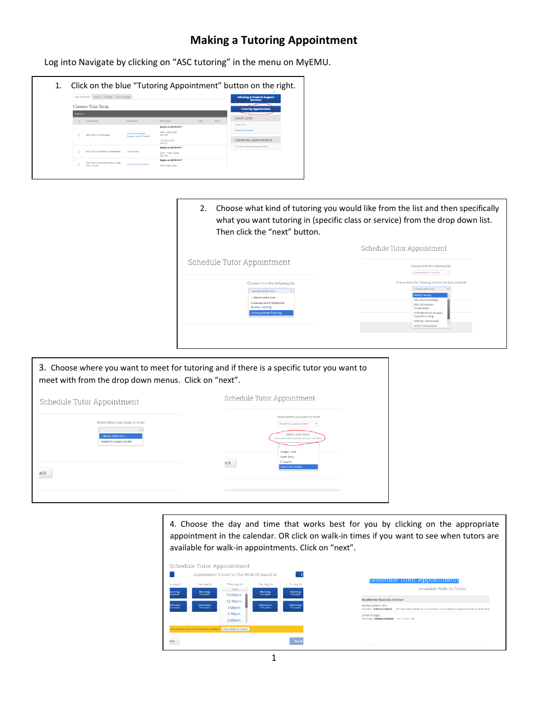## **Making a Tutoring Appointment**

Log into Navigate by clicking on "ASC tutoring" in the menu on MyEMU.



2. Choose what kind of tutoring you would like from the list and then specifically what you want tutoring in (specific class or service) from the drop down list. Then click the "next" button. Schedule Tutor Appointment Schedule Tutor Appointment Choose from the following list.

| Choose from the following list.               | Choose from the following services we have available |
|-----------------------------------------------|------------------------------------------------------|
|                                               |                                                      |
| -- please select one --                       | - please select one -                                |
| -- please select one --                       | <b>Writing Tutoring</b>                              |
|                                               | BIOL-202 Microbiology                                |
| Graduate and Professional<br>Studies Tutoring | BIOL-242 Nutrition                                   |
|                                               | Fundamentals                                         |
| <b>Undergraduate Tutoring</b>                 | CHST-334 Almost Christian:<br>Youth Min In Cong      |
|                                               | CORE-201 Life Wellness                               |
|                                               | NURS-310 Conceptual                                  |
|                                               |                                                      |
|                                               |                                                      |
|                                               |                                                      |



4. Choose the day and time that works best for you by clicking on the appropriate appointment in the calendar. OR click on walk-in times if you want to see when tutors are available for walk-in appointments. Click on "next".

|                                 |                                              | Schedule Tutor Appointment                  |                           |                           |                                                                                                                                       |
|---------------------------------|----------------------------------------------|---------------------------------------------|---------------------------|---------------------------|---------------------------------------------------------------------------------------------------------------------------------------|
|                                 |                                              | Appointment Times For The Week Of August 21 |                           | ->                        | Schedule Tutor Appointment                                                                                                            |
| on, Aug 21                      | Tue, Aug 22                                  | Wed, Aug 23                                 | Thu, Aug 24               | Fri, Aug 25               |                                                                                                                                       |
| <b>Morning</b>                  | <b>Morning</b>                               | Close                                       | <b>Morning</b>            | <b>Morning</b>            | Available Walk-In Times                                                                                                               |
| Avendable                       | <b>RAumlabin</b>                             | 12:00pm                                     | <b>R Available</b>        | <b>RAwalship</b>          |                                                                                                                                       |
|                                 |                                              | 12:30pm                                     |                           |                           | <b>Academic Success Center</b>                                                                                                        |
| fternoon<br><b>O Awardsblin</b> | Afternoon<br>10 Averlande                    | 1:00 <sub>pm</sub>                          | Afternoon<br>10 Available | Afternoon<br>10 Averlable | Ashley Liberio Test<br>Monday- 8:00am-5:00pm<br>Writing tutees please list in comments: course teacher assignment lots of other thing |
|                                 |                                              | 1:30 <sub>pm</sub>                          |                           |                           | <b>Linda Gnagev</b>                                                                                                                   |
|                                 |                                              | 2:00 <sub>pm</sub>                          |                           |                           | Thursday 8:00am-10:00am 2017-2018 - Fall                                                                                              |
|                                 |                                              | View Walk-in Times                          |                           |                           |                                                                                                                                       |
|                                 | look at what other times might be available. |                                             |                           |                           |                                                                                                                                       |
|                                 |                                              |                                             |                           |                           |                                                                                                                                       |
| ack                             |                                              |                                             |                           | Next                      |                                                                                                                                       |